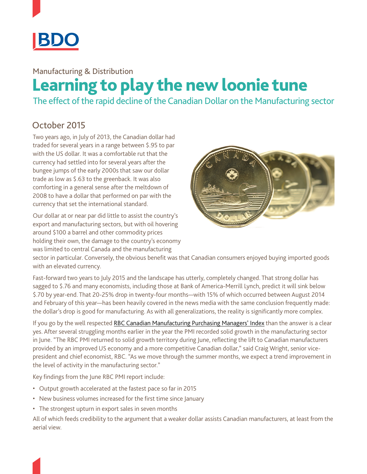

## Manufacturing & Distribution Learning to play the new loonie tune

The effect of the rapid decline of the Canadian Dollar on the Manufacturing sector

## October 2015

Two years ago, in July of 2013, the Canadian dollar had traded for several years in a range between \$.95 to par with the US dollar. It was a comfortable rut that the currency had settled into for several years after the bungee jumps of the early 2000s that saw our dollar trade as low as \$.63 to the greenback. It was also comforting in a general sense after the meltdown of 2008 to have a dollar that performed on par with the currency that set the international standard.

Our dollar at or near par did little to assist the country's export and manufacturing sectors, but with oil hovering around \$100 a barrel and other commodity prices holding their own, the damage to the country's economy was limited to central Canada and the manufacturing



sector in particular. Conversely, the obvious benefit was that Canadian consumers enjoyed buying imported goods with an elevated currency.

Fast-forward two years to July 2015 and the landscape has utterly, completely changed. That strong dollar has sagged to \$.76 and many economists, including those at Bank of America-Merrill Lynch, predict it will sink below \$.70 by year-end. That 20-25% drop in twenty-four months—with 15% of which occurred between August 2014 and February of this year—has been heavily covered in the news media with the same conclusion frequently made: the dollar's drop is good for manufacturing. As with all generalizations, the reality is significantly more complex.

If you go by the well respected [RBC Canadian Manufacturing Purchasing Managers' Index](http://www.rbc.com/newsroom/reports/rbc-purchasing-managers-index.html) than the answer is a clear yes. After several struggling months earlier in the year the PMI recorded solid growth in the manufacturing sector in June. "The RBC PMI returned to solid growth territory during June, reflecting the lift to Canadian manufacturers provided by an improved US economy and a more competitive Canadian dollar," said Craig Wright, senior vicepresident and chief economist, RBC. "As we move through the summer months, we expect a trend improvement in the level of activity in the manufacturing sector."

Key findings from the June RBC PMI report include:

- Output growth accelerated at the fastest pace so far in 2015
- New business volumes increased for the first time since January
- The strongest upturn in export sales in seven months

All of which feeds credibility to the argument that a weaker dollar assists Canadian manufacturers, at least from the aerial view.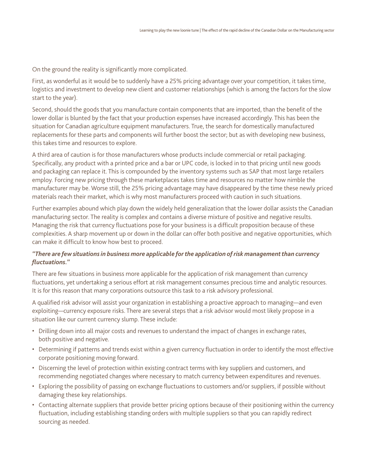On the ground the reality is significantly more complicated.

First, as wonderful as it would be to suddenly have a 25% pricing advantage over your competition, it takes time, logistics and investment to develop new client and customer relationships (which is among the factors for the slow start to the year).

Second, should the goods that you manufacture contain components that are imported, than the benefit of the lower dollar is blunted by the fact that your production expenses have increased accordingly. This has been the situation for Canadian agriculture equipment manufacturers. True, the search for domestically manufactured replacements for these parts and components will further boost the sector; but as with developing new business, this takes time and resources to explore.

A third area of caution is for those manufacturers whose products include commercial or retail packaging. Specifically, any product with a printed price and a bar or UPC code, is locked in to that pricing until new goods and packaging can replace it. This is compounded by the inventory systems such as SAP that most large retailers employ. Forcing new pricing through these marketplaces takes time and resources no matter how nimble the manufacturer may be. Worse still, the 25% pricing advantage may have disappeared by the time these newly priced materials reach their market, which is why most manufacturers proceed with caution in such situations.

Further examples abound which play down the widely held generalization that the lower dollar assists the Canadian manufacturing sector. The reality is complex and contains a diverse mixture of positive and negative results. Managing the risk that currency fluctuations pose for your business is a difficult proposition because of these complexities. A sharp movement up or down in the dollar can offer both positive and negative opportunities, which can make it difficult to know how best to proceed.

## *"There are few situations in business more applicable for the application of risk management than currency fluctuations."*

There are few situations in business more applicable for the application of risk management than currency fluctuations, yet undertaking a serious effort at risk management consumes precious time and analytic resources. It is for this reason that many corporations outsource this task to a risk advisory professional.

A qualified risk advisor will assist your organization in establishing a proactive approach to managing—and even exploiting—currency exposure risks. There are several steps that a risk advisor would most likely propose in a situation like our current currency slump. These include:

- • Drilling down into all major costs and revenues to understand the impact of changes in exchange rates, both positive and negative.
- • Determining if patterns and trends exist within a given currency fluctuation in order to identify the most effective corporate positioning moving forward.
- • Discerning the level of protection within existing contract terms with key suppliers and customers, and recommending negotiated changes where necessary to match currency between expenditures and revenues.
- Exploring the possibility of passing on exchange fluctuations to customers and/or suppliers, if possible without damaging these key relationships.
- • Contacting alternate suppliers that provide better pricing options because of their positioning within the currency fluctuation, including establishing standing orders with multiple suppliers so that you can rapidly redirect sourcing as needed.